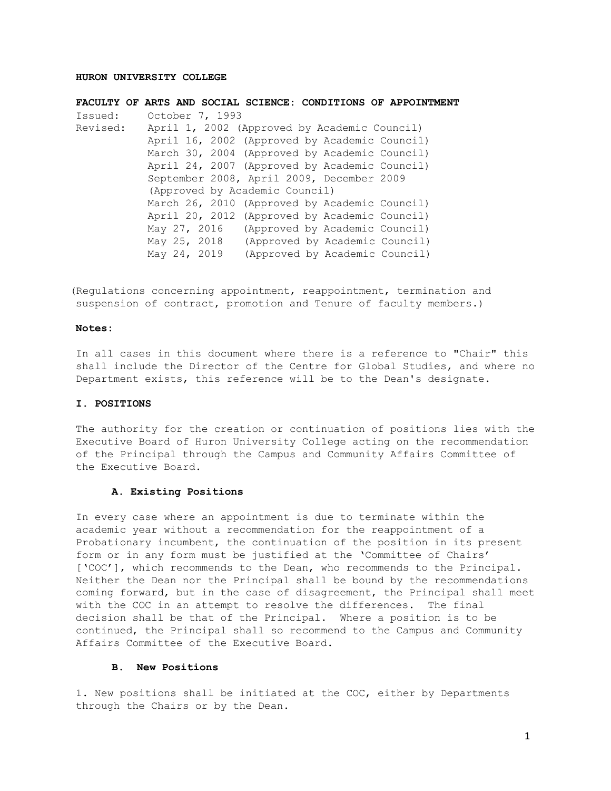# **HURON UNIVERSITY COLLEGE**

**FACULTY OF ARTS AND SOCIAL SCIENCE: CONDITIONS OF APPOINTMENT** Issued: October 7, 1993 Revised: April 1, 2002 (Approved by Academic Council) April 16, 2002 (Approved by Academic Council) March 30, 2004 (Approved by Academic Council) April 24, 2007 (Approved by Academic Council) September 2008, April 2009, December 2009 (Approved by Academic Council) March 26, 2010 (Approved by Academic Council) April 20, 2012 (Approved by Academic Council) May 27, 2016 (Approved by Academic Council) May 25, 2018 (Approved by Academic Council) May 24, 2019 (Approved by Academic Council)

(Regulations concerning appointment, reappointment, termination and suspension of contract, promotion and Tenure of faculty members.)

## **Notes:**

In all cases in this document where there is a reference to "Chair" this shall include the Director of the Centre for Global Studies, and where no Department exists, this reference will be to the Dean's designate.

### **I. POSITIONS**

The authority for the creation or continuation of positions lies with the Executive Board of Huron University College acting on the recommendation of the Principal through the Campus and Community Affairs Committee of the Executive Board.

### **A. Existing Positions**

In every case where an appointment is due to terminate within the academic year without a recommendation for the reappointment of a Probationary incumbent, the continuation of the position in its present form or in any form must be justified at the 'Committee of Chairs' ['COC'], which recommends to the Dean, who recommends to the Principal. Neither the Dean nor the Principal shall be bound by the recommendations coming forward, but in the case of disagreement, the Principal shall meet with the COC in an attempt to resolve the differences. The final decision shall be that of the Principal. Where a position is to be continued, the Principal shall so recommend to the Campus and Community Affairs Committee of the Executive Board.

### **B. New Positions**

1. New positions shall be initiated at the COC, either by Departments through the Chairs or by the Dean.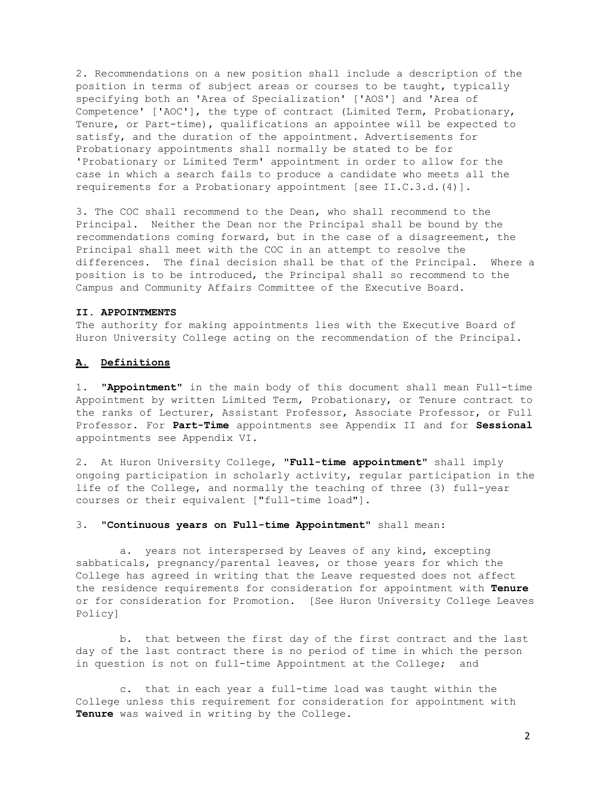2. Recommendations on a new position shall include a description of the position in terms of subject areas or courses to be taught, typically specifying both an 'Area of Specialization' ['AOS'] and 'Area of Competence' ['AOC'], the type of contract (Limited Term, Probationary, Tenure, or Part-time), qualifications an appointee will be expected to satisfy, and the duration of the appointment. Advertisements for Probationary appointments shall normally be stated to be for 'Probationary or Limited Term' appointment in order to allow for the case in which a search fails to produce a candidate who meets all the requirements for a Probationary appointment [see II.C.3.d.(4)].

3. The COC shall recommend to the Dean, who shall recommend to the Principal. Neither the Dean nor the Principal shall be bound by the recommendations coming forward, but in the case of a disagreement, the Principal shall meet with the COC in an attempt to resolve the differences. The final decision shall be that of the Principal. Where a position is to be introduced, the Principal shall so recommend to the Campus and Community Affairs Committee of the Executive Board.

### **II. APPOINTMENTS**

The authority for making appointments lies with the Executive Board of Huron University College acting on the recommendation of the Principal.

# **A. Definitions**

1. **"Appointment"** in the main body of this document shall mean Full-time Appointment by written Limited Term, Probationary, or Tenure contract to the ranks of Lecturer, Assistant Professor, Associate Professor, or Full Professor. For **Part-Time** appointments see Appendix II and for **Sessional**  appointments see Appendix VI.

2. At Huron University College, **"Full-time appointment"** shall imply ongoing participation in scholarly activity, regular participation in the life of the College, and normally the teaching of three (3) full-year courses or their equivalent ["full-time load"].

#### 3. **"Continuous years on Full-time Appointment"** shall mean:

a. years not interspersed by Leaves of any kind, excepting sabbaticals, pregnancy/parental leaves, or those years for which the College has agreed in writing that the Leave requested does not affect the residence requirements for consideration for appointment with **Tenure**  or for consideration for Promotion. [See Huron University College Leaves Policy]

b. that between the first day of the first contract and the last day of the last contract there is no period of time in which the person in question is not on full-time Appointment at the College; and

c. that in each year a full-time load was taught within the College unless this requirement for consideration for appointment with **Tenure** was waived in writing by the College.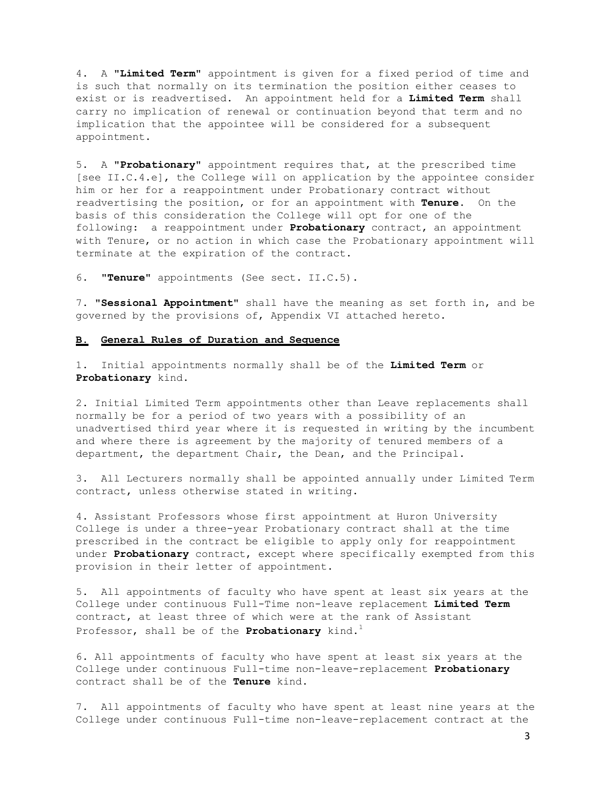4. A **"Limited Term"** appointment is given for a fixed period of time and is such that normally on its termination the position either ceases to exist or is readvertised. An appointment held for a **Limited Term** shall carry no implication of renewal or continuation beyond that term and no implication that the appointee will be considered for a subsequent appointment.

5. A **"Probationary"** appointment requires that, at the prescribed time [see II.C.4.e], the College will on application by the appointee consider him or her for a reappointment under Probationary contract without readvertising the position, or for an appointment with **Tenure.** On the basis of this consideration the College will opt for one of the following: a reappointment under **Probationary** contract, an appointment with Tenure, or no action in which case the Probationary appointment will terminate at the expiration of the contract.

6. **"Tenure"** appointments (See sect. II.C.5).

7. **"Sessional Appointment"** shall have the meaning as set forth in, and be governed by the provisions of, Appendix VI attached hereto.

### **B. General Rules of Duration and Sequence**

1. Initial appointments normally shall be of the **Limited Term** or **Probationary** kind.

2. Initial Limited Term appointments other than Leave replacements shall normally be for a period of two years with a possibility of an unadvertised third year where it is requested in writing by the incumbent and where there is agreement by the majority of tenured members of a department, the department Chair, the Dean, and the Principal.

3. All Lecturers normally shall be appointed annually under Limited Term contract, unless otherwise stated in writing.

4. Assistant Professors whose first appointment at Huron University College is under a three-year Probationary contract shall at the time prescribed in the contract be eligible to apply only for reappointment under **Probationary** contract, except where specifically exempted from this provision in their letter of appointment.

5. All appointments of faculty who have spent at least six years at the College under continuous Full-Time non-leave replacement **Limited Term**  contract, at least three of which were at the rank of Assistant Professor, shall be of the **Probationary** kind.<sup>1</sup>

6. All appointments of faculty who have spent at least six years at the College under continuous Full-time non-leave-replacement **Probationary**  contract shall be of the **Tenure** kind.

7. All appointments of faculty who have spent at least nine years at the College under continuous Full-time non-leave-replacement contract at the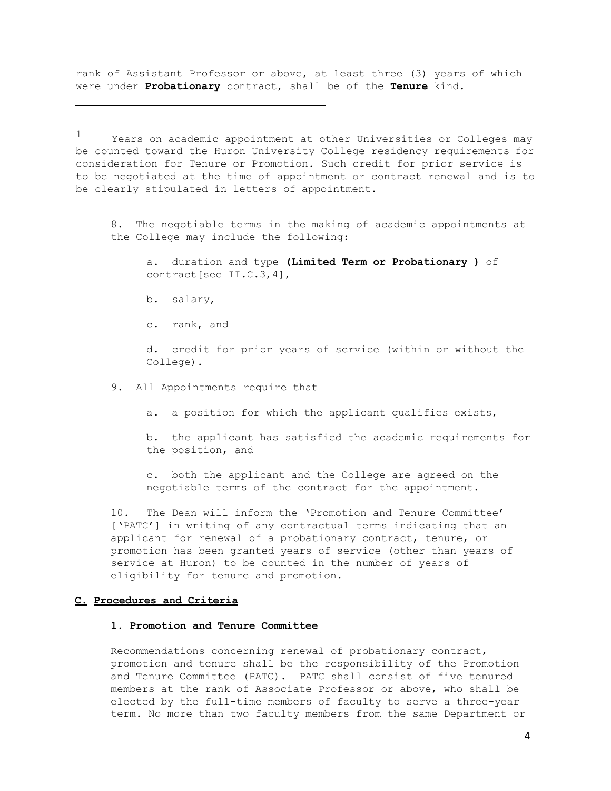rank of Assistant Professor or above, at least three (3) years of which were under **Probationary** contract, shall be of the **Tenure** kind.

 $1$  Years on academic appointment at other Universities or Colleges may be counted toward the Huron University College residency requirements for consideration for Tenure or Promotion. Such credit for prior service is to be negotiated at the time of appointment or contract renewal and is to be clearly stipulated in letters of appointment.

8. The negotiable terms in the making of academic appointments at the College may include the following:

a. duration and type **(Limited Term or Probationary )** of contract[see II.C.3,4],

b. salary,

c. rank, and

d. credit for prior years of service (within or without the College).

9. All Appointments require that

a. a position for which the applicant qualifies exists,

b. the applicant has satisfied the academic requirements for the position, and

c. both the applicant and the College are agreed on the negotiable terms of the contract for the appointment.

10. The Dean will inform the 'Promotion and Tenure Committee' ['PATC'] in writing of any contractual terms indicating that an applicant for renewal of a probationary contract, tenure, or promotion has been granted years of service (other than years of service at Huron) to be counted in the number of years of eligibility for tenure and promotion.

### **C. Procedures and Criteria**

# **1. Promotion and Tenure Committee**

Recommendations concerning renewal of probationary contract, promotion and tenure shall be the responsibility of the Promotion and Tenure Committee (PATC). PATC shall consist of five tenured members at the rank of Associate Professor or above, who shall be elected by the full-time members of faculty to serve a three-year term. No more than two faculty members from the same Department or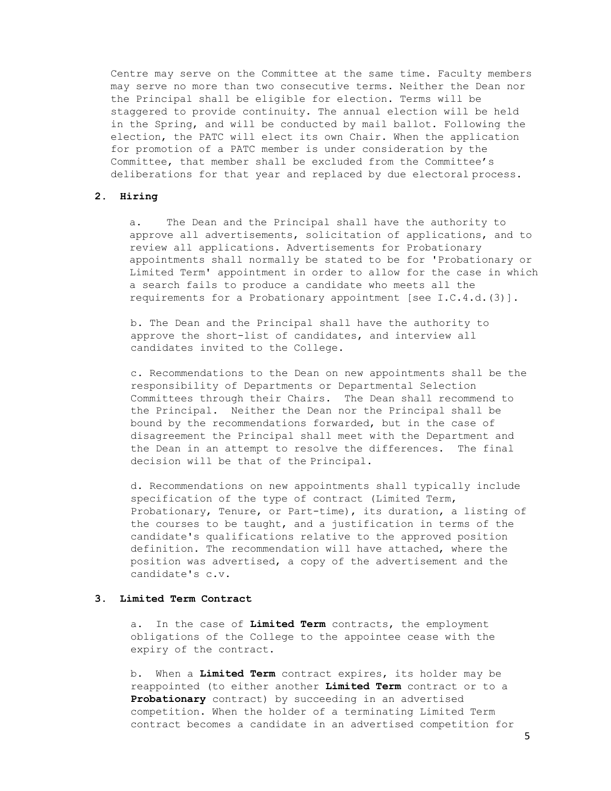Centre may serve on the Committee at the same time. Faculty members may serve no more than two consecutive terms. Neither the Dean nor the Principal shall be eligible for election. Terms will be staggered to provide continuity. The annual election will be held in the Spring, and will be conducted by mail ballot. Following the election, the PATC will elect its own Chair. When the application for promotion of a PATC member is under consideration by the Committee, that member shall be excluded from the Committee's deliberations for that year and replaced by due electoral process.

# **2. Hiring**

a. The Dean and the Principal shall have the authority to approve all advertisements, solicitation of applications, and to review all applications. Advertisements for Probationary appointments shall normally be stated to be for 'Probationary or Limited Term' appointment in order to allow for the case in which a search fails to produce a candidate who meets all the requirements for a Probationary appointment [see I.C.4.d.(3)].

b. The Dean and the Principal shall have the authority to approve the short-list of candidates, and interview all candidates invited to the College.

c. Recommendations to the Dean on new appointments shall be the responsibility of Departments or Departmental Selection Committees through their Chairs. The Dean shall recommend to the Principal. Neither the Dean nor the Principal shall be bound by the recommendations forwarded, but in the case of disagreement the Principal shall meet with the Department and the Dean in an attempt to resolve the differences. The final decision will be that of the Principal.

d. Recommendations on new appointments shall typically include specification of the type of contract (Limited Term, Probationary, Tenure, or Part-time), its duration, a listing of the courses to be taught, and a justification in terms of the candidate's qualifications relative to the approved position definition. The recommendation will have attached, where the position was advertised, a copy of the advertisement and the candidate's c.v.

#### **3. Limited Term Contract**

a. In the case of **Limited Term** contracts, the employment obligations of the College to the appointee cease with the expiry of the contract.

b. When a **Limited Term** contract expires, its holder may be reappointed (to either another **Limited Term** contract or to a **Probationary** contract) by succeeding in an advertised competition. When the holder of a terminating Limited Term contract becomes a candidate in an advertised competition for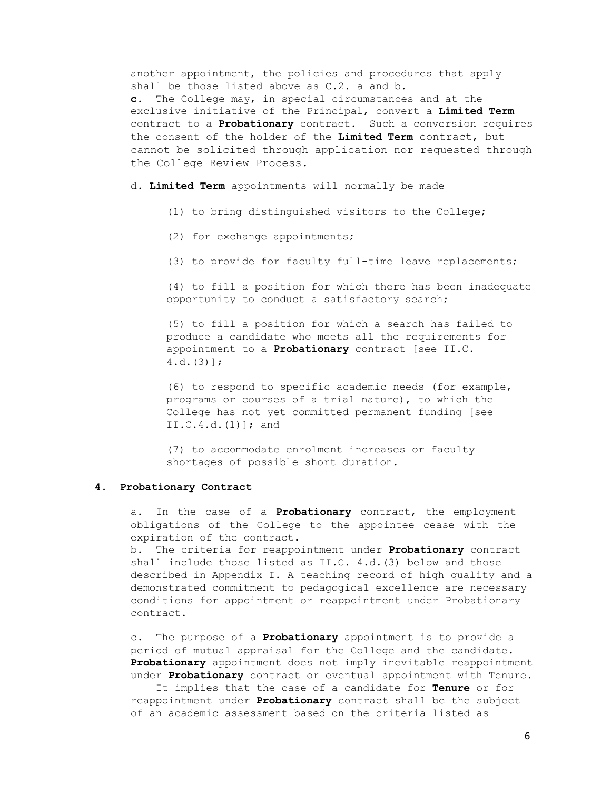another appointment, the policies and procedures that apply shall be those listed above as C.2. a and b. **c.** The College may, in special circumstances and at the exclusive initiative of the Principal, convert a **Limited Term**  contract to a **Probationary** contract. Such a conversion requires the consent of the holder of the **Limited Term** contract, but cannot be solicited through application nor requested through the College Review Process.

d. **Limited Term** appointments will normally be made

- (1) to bring distinguished visitors to the College;
- (2) for exchange appointments;
- (3) to provide for faculty full-time leave replacements;

(4) to fill a position for which there has been inadequate opportunity to conduct a satisfactory search;

(5) to fill a position for which a search has failed to produce a candidate who meets all the requirements for appointment to a **Probationary** contract [see II.C. 4.d.(3)];

(6) to respond to specific academic needs (for example, programs or courses of a trial nature), to which the College has not yet committed permanent funding [see  $II.C.4.d.(1)$  ; and

(7) to accommodate enrolment increases or faculty shortages of possible short duration.

## **4. Probationary Contract**

a. In the case of a **Probationary** contract, the employment obligations of the College to the appointee cease with the expiration of the contract.

b. The criteria for reappointment under **Probationary** contract shall include those listed as II.C. 4.d.(3) below and those described in Appendix I. A teaching record of high quality and a demonstrated commitment to pedagogical excellence are necessary conditions for appointment or reappointment under Probationary contract.

c. The purpose of a **Probationary** appointment is to provide a period of mutual appraisal for the College and the candidate. **Probationary** appointment does not imply inevitable reappointment under **Probationary** contract or eventual appointment with Tenure.

It implies that the case of a candidate for **Tenure** or for reappointment under **Probationary** contract shall be the subject of an academic assessment based on the criteria listed as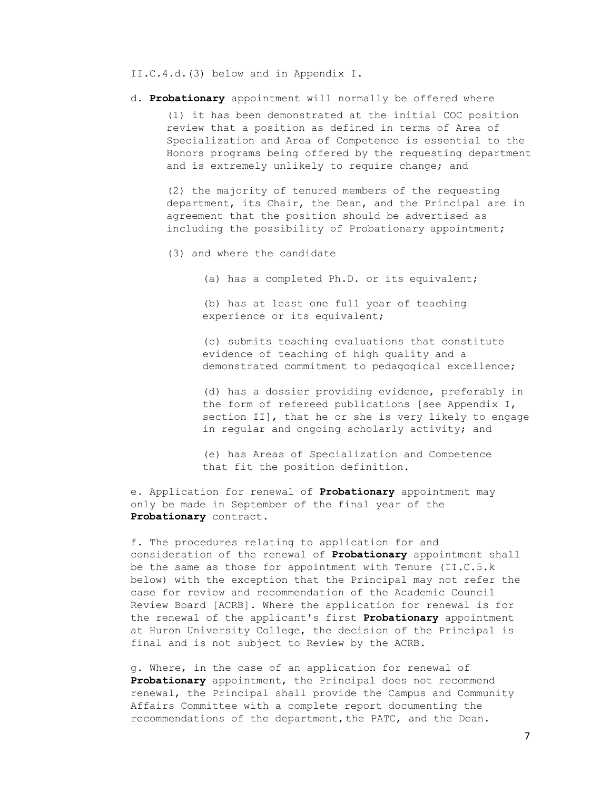II.C.4.d.(3) below and in Appendix I.

d. **Probationary** appointment will normally be offered where

(1) it has been demonstrated at the initial COC position review that a position as defined in terms of Area of Specialization and Area of Competence is essential to the Honors programs being offered by the requesting department and is extremely unlikely to require change; and

(2) the majority of tenured members of the requesting department, its Chair, the Dean, and the Principal are in agreement that the position should be advertised as including the possibility of Probationary appointment;

- (3) and where the candidate
	- (a) has a completed Ph.D. or its equivalent;

(b) has at least one full year of teaching experience or its equivalent;

(c) submits teaching evaluations that constitute evidence of teaching of high quality and a demonstrated commitment to pedagogical excellence;

(d) has a dossier providing evidence, preferably in the form of refereed publications [see Appendix I, section II], that he or she is very likely to engage in regular and ongoing scholarly activity; and

(e) has Areas of Specialization and Competence that fit the position definition.

e. Application for renewal of **Probationary** appointment may only be made in September of the final year of the **Probationary** contract.

f. The procedures relating to application for and consideration of the renewal of **Probationary** appointment shall be the same as those for appointment with Tenure (II.C.5.k below) with the exception that the Principal may not refer the case for review and recommendation of the Academic Council Review Board [ACRB]. Where the application for renewal is for the renewal of the applicant's first **Probationary** appointment at Huron University College, the decision of the Principal is final and is not subject to Review by the ACRB.

g. Where, in the case of an application for renewal of **Probationary** appointment, the Principal does not recommend renewal, the Principal shall provide the Campus and Community Affairs Committee with a complete report documenting the recommendations of the department, the PATC, and the Dean.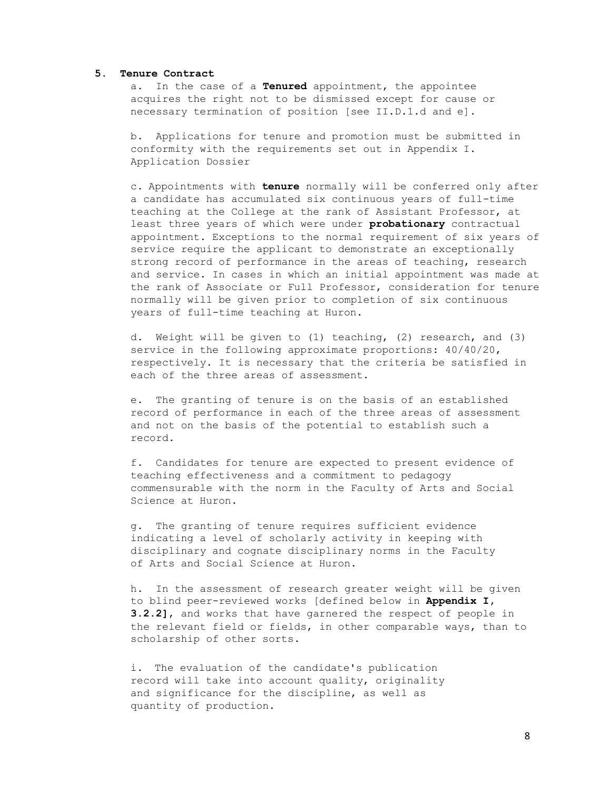#### **5. Tenure Contract**

a. In the case of a **Tenured** appointment, the appointee acquires the right not to be dismissed except for cause or necessary termination of position [see II.D.1.d and e].

b. Applications for tenure and promotion must be submitted in conformity with the requirements set out in Appendix I. Application Dossier

c. Appointments with **tenure** normally will be conferred only after a candidate has accumulated six continuous years of full-time teaching at the College at the rank of Assistant Professor, at least three years of which were under **probationary** contractual appointment. Exceptions to the normal requirement of six years of service require the applicant to demonstrate an exceptionally strong record of performance in the areas of teaching, research and service. In cases in which an initial appointment was made at the rank of Associate or Full Professor, consideration for tenure normally will be given prior to completion of six continuous years of full-time teaching at Huron.

d. Weight will be given to (1) teaching, (2) research, and (3) service in the following approximate proportions: 40/40/20, respectively. It is necessary that the criteria be satisfied in each of the three areas of assessment.

e. The granting of tenure is on the basis of an established record of performance in each of the three areas of assessment and not on the basis of the potential to establish such a record.

f. Candidates for tenure are expected to present evidence of teaching effectiveness and a commitment to pedagogy commensurable with the norm in the Faculty of Arts and Social Science at Huron.

g. The granting of tenure requires sufficient evidence indicating a level of scholarly activity in keeping with disciplinary and cognate disciplinary norms in the Faculty of Arts and Social Science at Huron.

h. In the assessment of research greater weight will be given to blind peer-reviewed works [defined below in **Appendix I, 3.2.2]**, and works that have garnered the respect of people in the relevant field or fields, in other comparable ways, than to scholarship of other sorts.

i. The evaluation of the candidate's publication record will take into account quality, originality and significance for the discipline, as well as quantity of production.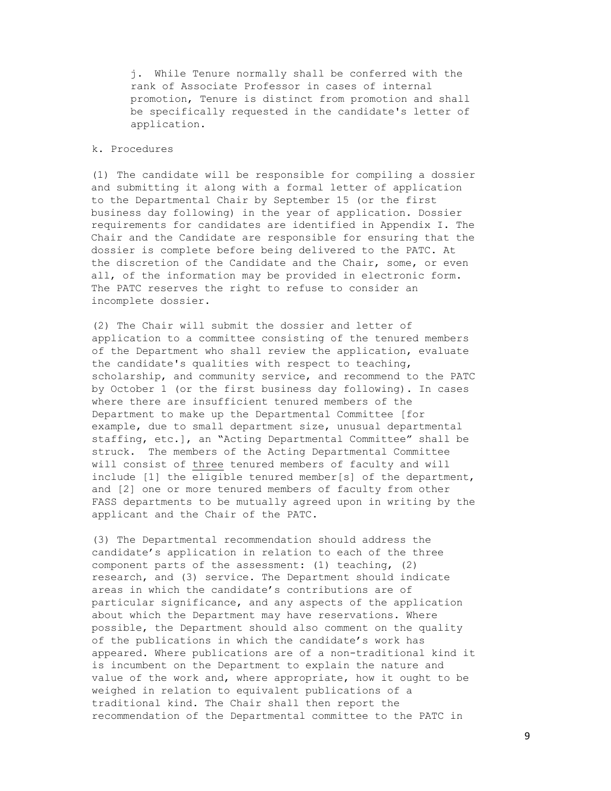j. While Tenure normally shall be conferred with the rank of Associate Professor in cases of internal promotion, Tenure is distinct from promotion and shall be specifically requested in the candidate's letter of application.

# k. Procedures

(1) The candidate will be responsible for compiling a dossier and submitting it along with a formal letter of application to the Departmental Chair by September 15 (or the first business day following) in the year of application. Dossier requirements for candidates are identified in Appendix I. The Chair and the Candidate are responsible for ensuring that the dossier is complete before being delivered to the PATC. At the discretion of the Candidate and the Chair, some, or even all, of the information may be provided in electronic form. The PATC reserves the right to refuse to consider an incomplete dossier.

(2) The Chair will submit the dossier and letter of application to a committee consisting of the tenured members of the Department who shall review the application, evaluate the candidate's qualities with respect to teaching, scholarship, and community service, and recommend to the PATC by October 1 (or the first business day following). In cases where there are insufficient tenured members of the Department to make up the Departmental Committee [for example, due to small department size, unusual departmental staffing, etc.], an "Acting Departmental Committee" shall be struck. The members of the Acting Departmental Committee will consist of three tenured members of faculty and will include [1] the eligible tenured member[s] of the department, and [2] one or more tenured members of faculty from other FASS departments to be mutually agreed upon in writing by the applicant and the Chair of the PATC.

(3) The Departmental recommendation should address the candidate's application in relation to each of the three component parts of the assessment: (1) teaching, (2) research, and (3) service. The Department should indicate areas in which the candidate's contributions are of particular significance, and any aspects of the application about which the Department may have reservations. Where possible, the Department should also comment on the quality of the publications in which the candidate's work has appeared. Where publications are of a non-traditional kind it is incumbent on the Department to explain the nature and value of the work and, where appropriate, how it ought to be weighed in relation to equivalent publications of a traditional kind. The Chair shall then report the recommendation of the Departmental committee to the PATC in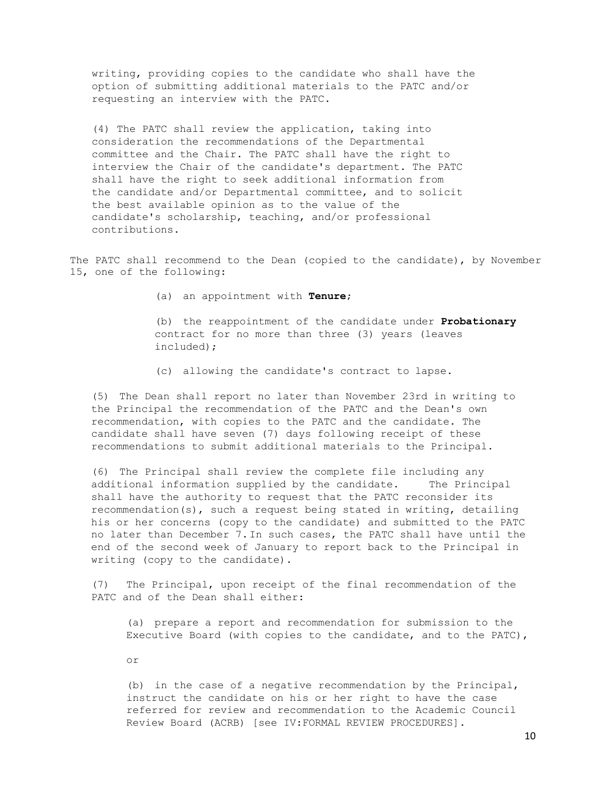writing, providing copies to the candidate who shall have the option of submitting additional materials to the PATC and/or requesting an interview with the PATC.

(4) The PATC shall review the application, taking into consideration the recommendations of the Departmental committee and the Chair. The PATC shall have the right to interview the Chair of the candidate's department. The PATC shall have the right to seek additional information from the candidate and/or Departmental committee, and to solicit the best available opinion as to the value of the candidate's scholarship, teaching, and/or professional contributions.

The PATC shall recommend to the Dean (copied to the candidate), by November 15, one of the following:

(a) an appointment with **Tenure**;

(b) the reappointment of the candidate under **Probationary**  contract for no more than three (3) years (leaves included);

(c) allowing the candidate's contract to lapse.

(5) The Dean shall report no later than November 23rd in writing to the Principal the recommendation of the PATC and the Dean's own recommendation, with copies to the PATC and the candidate. The candidate shall have seven (7) days following receipt of these recommendations to submit additional materials to the Principal.

(6) The Principal shall review the complete file including any additional information supplied by the candidate. The Principal shall have the authority to request that the PATC reconsider its recommendation(s), such a request being stated in writing, detailing his or her concerns (copy to the candidate) and submitted to the PATC no later than December 7.In such cases, the PATC shall have until the end of the second week of January to report back to the Principal in writing (copy to the candidate).

(7) The Principal, upon receipt of the final recommendation of the PATC and of the Dean shall either:

(a) prepare a report and recommendation for submission to the Executive Board (with copies to the candidate, and to the PATC),

or

(b) in the case of a negative recommendation by the Principal, instruct the candidate on his or her right to have the case referred for review and recommendation to the Academic Council Review Board (ACRB) [see IV:FORMAL REVIEW PROCEDURES].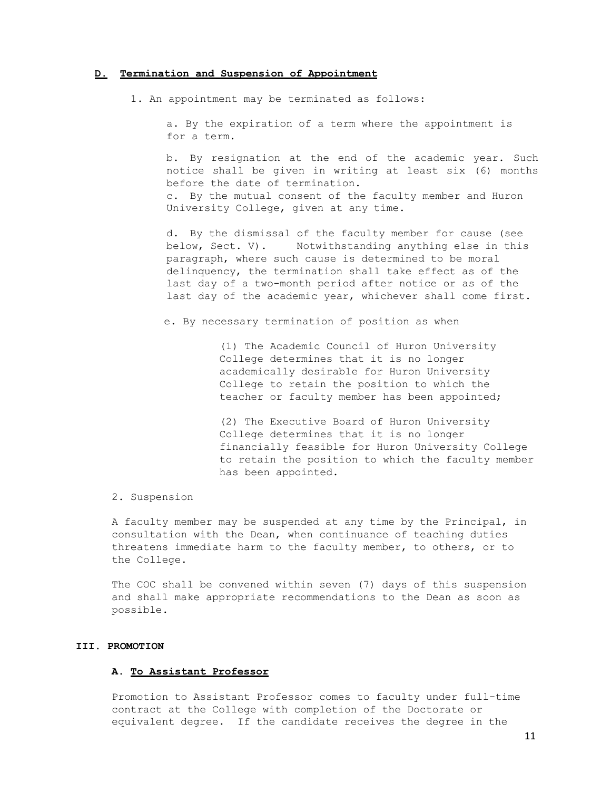#### **D. Termination and Suspension of Appointment**

1. An appointment may be terminated as follows:

a. By the expiration of a term where the appointment is for a term.

b. By resignation at the end of the academic year. Such notice shall be given in writing at least six (6) months before the date of termination. c. By the mutual consent of the faculty member and Huron University College, given at any time.

d. By the dismissal of the faculty member for cause (see below, Sect. V). Notwithstanding anything else in this paragraph, where such cause is determined to be moral delinquency, the termination shall take effect as of the last day of a two-month period after notice or as of the last day of the academic year, whichever shall come first.

e. By necessary termination of position as when

(1) The Academic Council of Huron University College determines that it is no longer academically desirable for Huron University College to retain the position to which the teacher or faculty member has been appointed;

(2) The Executive Board of Huron University College determines that it is no longer financially feasible for Huron University College to retain the position to which the faculty member has been appointed.

2. Suspension

A faculty member may be suspended at any time by the Principal, in consultation with the Dean, when continuance of teaching duties threatens immediate harm to the faculty member, to others, or to the College.

The COC shall be convened within seven (7) days of this suspension and shall make appropriate recommendations to the Dean as soon as possible.

### **III. PROMOTION**

## **A. To Assistant Professor**

Promotion to Assistant Professor comes to faculty under full-time contract at the College with completion of the Doctorate or equivalent degree. If the candidate receives the degree in the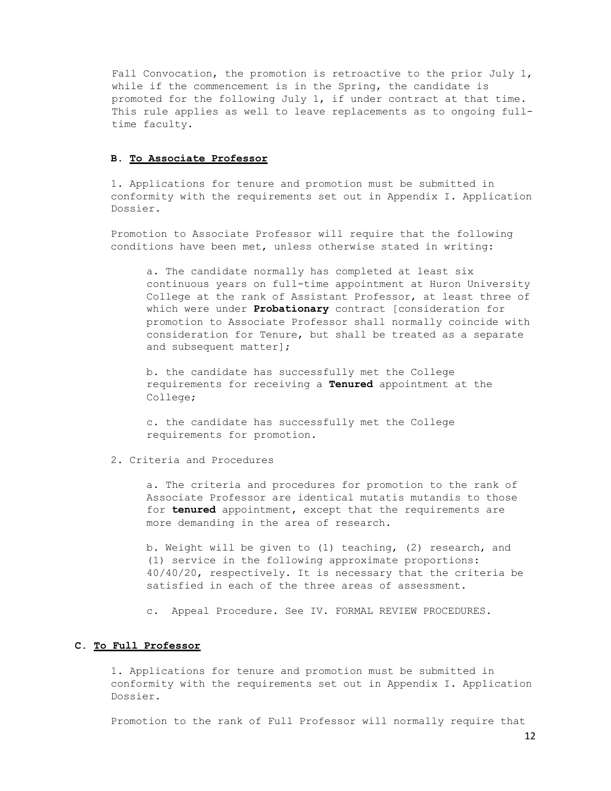Fall Convocation, the promotion is retroactive to the prior July 1, while if the commencement is in the Spring, the candidate is promoted for the following July 1, if under contract at that time. This rule applies as well to leave replacements as to ongoing fulltime faculty.

### **B. To Associate Professor**

1. Applications for tenure and promotion must be submitted in conformity with the requirements set out in Appendix I. Application Dossier.

Promotion to Associate Professor will require that the following conditions have been met, unless otherwise stated in writing:

a. The candidate normally has completed at least six continuous years on full-time appointment at Huron University College at the rank of Assistant Professor, at least three of which were under **Probationary** contract [consideration for promotion to Associate Professor shall normally coincide with consideration for Tenure, but shall be treated as a separate and subsequent matter];

b. the candidate has successfully met the College requirements for receiving a **Tenured** appointment at the College;

c. the candidate has successfully met the College requirements for promotion.

### 2. Criteria and Procedures

a. The criteria and procedures for promotion to the rank of Associate Professor are identical mutatis mutandis to those for **tenured** appointment, except that the requirements are more demanding in the area of research.

b. Weight will be given to (1) teaching, (2) research, and (1) service in the following approximate proportions: 40/40/20, respectively. It is necessary that the criteria be satisfied in each of the three areas of assessment.

c. Appeal Procedure. See IV. FORMAL REVIEW PROCEDURES.

### **C. To Full Professor**

1. Applications for tenure and promotion must be submitted in conformity with the requirements set out in Appendix I. Application Dossier.

Promotion to the rank of Full Professor will normally require that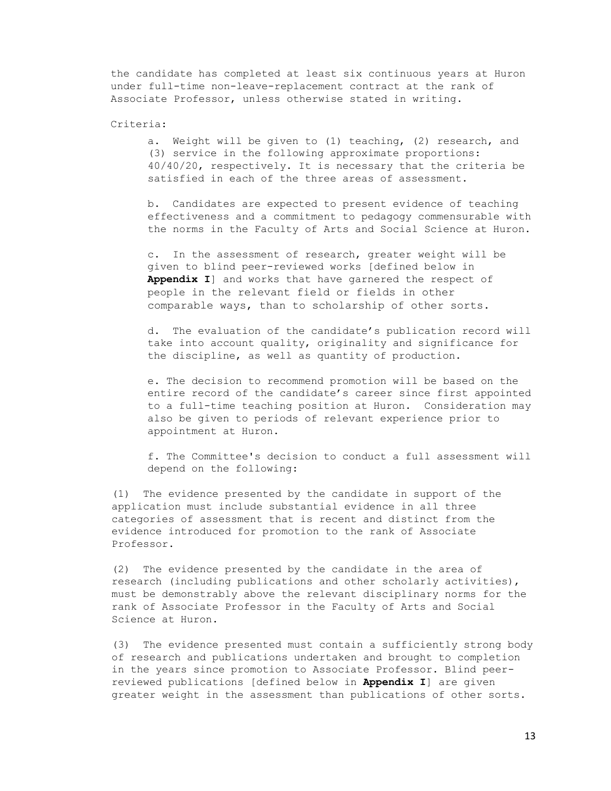the candidate has completed at least six continuous years at Huron under full-time non-leave-replacement contract at the rank of Associate Professor, unless otherwise stated in writing.

### Criteria:

a. Weight will be given to (1) teaching, (2) research, and (3) service in the following approximate proportions: 40/40/20, respectively. It is necessary that the criteria be satisfied in each of the three areas of assessment.

b. Candidates are expected to present evidence of teaching effectiveness and a commitment to pedagogy commensurable with the norms in the Faculty of Arts and Social Science at Huron.

c. In the assessment of research, greater weight will be given to blind peer-reviewed works [defined below in **Appendix I**] and works that have garnered the respect of people in the relevant field or fields in other comparable ways, than to scholarship of other sorts.

d. The evaluation of the candidate's publication record will take into account quality, originality and significance for the discipline, as well as quantity of production.

e. The decision to recommend promotion will be based on the entire record of the candidate's career since first appointed to a full-time teaching position at Huron. Consideration may also be given to periods of relevant experience prior to appointment at Huron.

f. The Committee's decision to conduct a full assessment will depend on the following:

(1) The evidence presented by the candidate in support of the application must include substantial evidence in all three categories of assessment that is recent and distinct from the evidence introduced for promotion to the rank of Associate Professor.

(2) The evidence presented by the candidate in the area of research (including publications and other scholarly activities), must be demonstrably above the relevant disciplinary norms for the rank of Associate Professor in the Faculty of Arts and Social Science at Huron.

(3) The evidence presented must contain a sufficiently strong body of research and publications undertaken and brought to completion in the years since promotion to Associate Professor. Blind peerreviewed publications [defined below in **Appendix I**] are given greater weight in the assessment than publications of other sorts.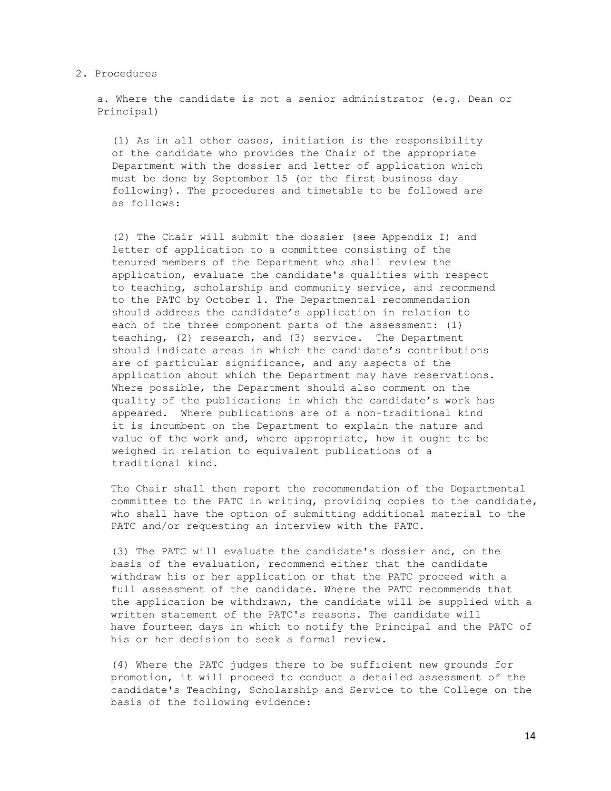#### 2. Procedures

a. Where the candidate is not a senior administrator (e.g. Dean or Principal)

(1) As in all other cases, initiation is the responsibility of the candidate who provides the Chair of the appropriate Department with the dossier and letter of application which must be done by September 15 (or the first business day following). The procedures and timetable to be followed are as follows:

(2) The Chair will submit the dossier (see Appendix I) and letter of application to a committee consisting of the tenured members of the Department who shall review the application, evaluate the candidate's qualities with respect to teaching, scholarship and community service, and recommend to the PATC by October 1. The Departmental recommendation should address the candidate's application in relation to each of the three component parts of the assessment: (1) teaching, (2) research, and (3) service. The Department should indicate areas in which the candidate's contributions are of particular significance, and any aspects of the application about which the Department may have reservations. Where possible, the Department should also comment on the quality of the publications in which the candidate's work has appeared. Where publications are of a non-traditional kind it is incumbent on the Department to explain the nature and value of the work and, where appropriate, how it ought to be weighed in relation to equivalent publications of a traditional kind.

The Chair shall then report the recommendation of the Departmental committee to the PATC in writing, providing copies to the candidate, who shall have the option of submitting additional material to the PATC and/or requesting an interview with the PATC.

(3) The PATC will evaluate the candidate's dossier and, on the basis of the evaluation, recommend either that the candidate withdraw his or her application or that the PATC proceed with a full assessment of the candidate. Where the PATC recommends that the application be withdrawn, the candidate will be supplied with a written statement of the PATC's reasons. The candidate will have fourteen days in which to notify the Principal and the PATC of his or her decision to seek a formal review.

(4) Where the PATC judges there to be sufficient new grounds for promotion, it will proceed to conduct a detailed assessment of the candidate's Teaching, Scholarship and Service to the College on the basis of the following evidence: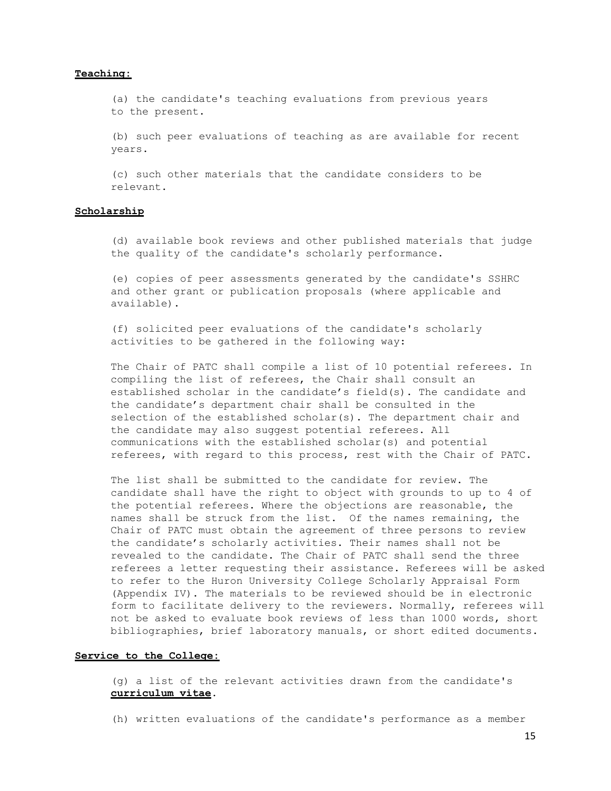# **Teaching:**

(a) the candidate's teaching evaluations from previous years to the present.

(b) such peer evaluations of teaching as are available for recent years.

(c) such other materials that the candidate considers to be relevant.

### **Scholarship**

(d) available book reviews and other published materials that judge the quality of the candidate's scholarly performance.

(e) copies of peer assessments generated by the candidate's SSHRC and other grant or publication proposals (where applicable and available).

(f) solicited peer evaluations of the candidate's scholarly activities to be gathered in the following way:

The Chair of PATC shall compile a list of 10 potential referees. In compiling the list of referees, the Chair shall consult an established scholar in the candidate's field(s). The candidate and the candidate's department chair shall be consulted in the selection of the established scholar(s). The department chair and the candidate may also suggest potential referees. All communications with the established scholar(s) and potential referees, with regard to this process, rest with the Chair of PATC.

The list shall be submitted to the candidate for review. The candidate shall have the right to object with grounds to up to 4 of the potential referees. Where the objections are reasonable, the names shall be struck from the list. Of the names remaining, the Chair of PATC must obtain the agreement of three persons to review the candidate's scholarly activities. Their names shall not be revealed to the candidate. The Chair of PATC shall send the three referees a letter requesting their assistance. Referees will be asked to refer to the Huron University College Scholarly Appraisal Form (Appendix IV). The materials to be reviewed should be in electronic form to facilitate delivery to the reviewers. Normally, referees will not be asked to evaluate book reviews of less than 1000 words, short bibliographies, brief laboratory manuals, or short edited documents.

### **Service to the College:**

(g) a list of the relevant activities drawn from the candidate's **curriculum vitae**.

(h) written evaluations of the candidate's performance as a member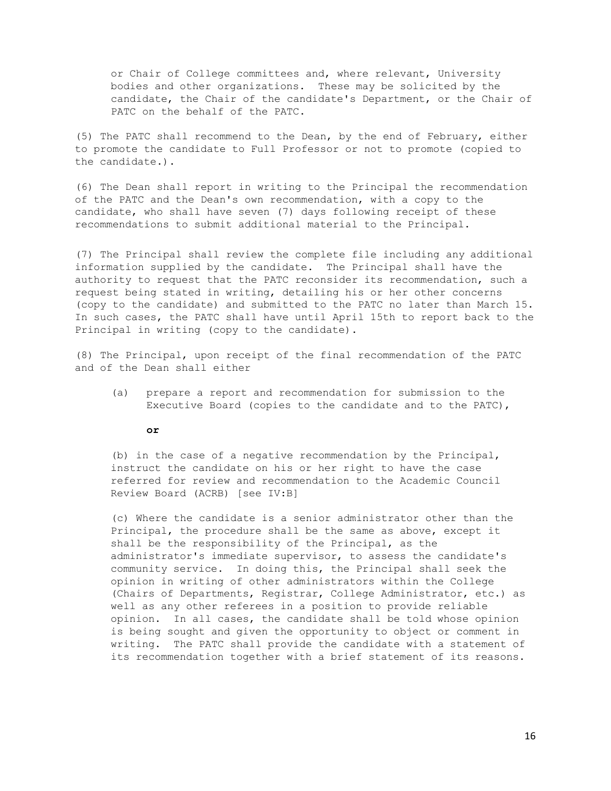or Chair of College committees and, where relevant, University bodies and other organizations. These may be solicited by the candidate, the Chair of the candidate's Department, or the Chair of PATC on the behalf of the PATC.

(5) The PATC shall recommend to the Dean, by the end of February, either to promote the candidate to Full Professor or not to promote (copied to the candidate.).

(6) The Dean shall report in writing to the Principal the recommendation of the PATC and the Dean's own recommendation, with a copy to the candidate, who shall have seven (7) days following receipt of these recommendations to submit additional material to the Principal.

(7) The Principal shall review the complete file including any additional information supplied by the candidate. The Principal shall have the authority to request that the PATC reconsider its recommendation, such a request being stated in writing, detailing his or her other concerns (copy to the candidate) and submitted to the PATC no later than March 15. In such cases, the PATC shall have until April 15th to report back to the Principal in writing (copy to the candidate).

(8) The Principal, upon receipt of the final recommendation of the PATC and of the Dean shall either

- (a) prepare a report and recommendation for submission to the Executive Board (copies to the candidate and to the PATC),
	- **or**

(b) in the case of a negative recommendation by the Principal, instruct the candidate on his or her right to have the case referred for review and recommendation to the Academic Council Review Board (ACRB) [see IV:B]

(c) Where the candidate is a senior administrator other than the Principal, the procedure shall be the same as above, except it shall be the responsibility of the Principal, as the administrator's immediate supervisor, to assess the candidate's community service. In doing this, the Principal shall seek the opinion in writing of other administrators within the College (Chairs of Departments, Registrar, College Administrator, etc.) as well as any other referees in a position to provide reliable opinion. In all cases, the candidate shall be told whose opinion is being sought and given the opportunity to object or comment in writing. The PATC shall provide the candidate with a statement of its recommendation together with a brief statement of its reasons.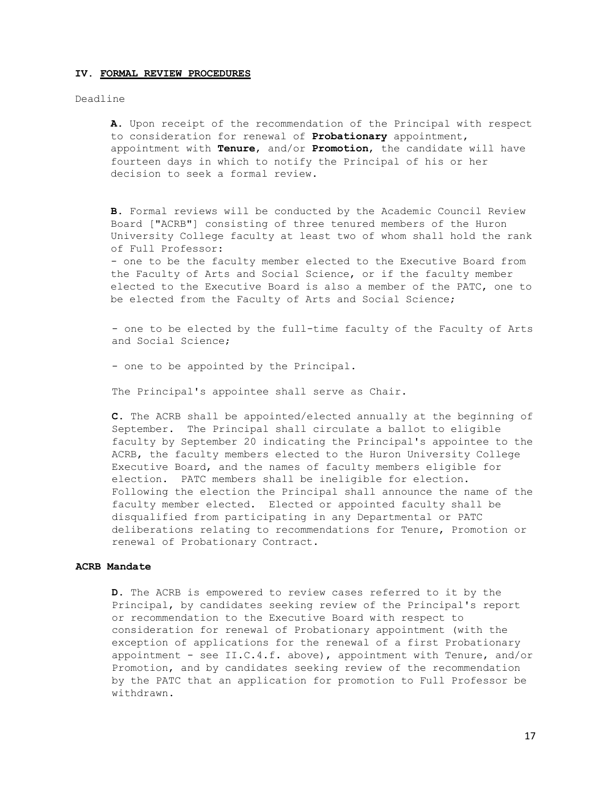#### **IV. FORMAL REVIEW PROCEDURES**

### Deadline

**A.** Upon receipt of the recommendation of the Principal with respect to consideration for renewal of **Probationary** appointment, appointment with **Tenure**, and/or **Promotion**, the candidate will have fourteen days in which to notify the Principal of his or her decision to seek a formal review.

**B.** Formal reviews will be conducted by the Academic Council Review Board ["ACRB"] consisting of three tenured members of the Huron University College faculty at least two of whom shall hold the rank of Full Professor: - one to be the faculty member elected to the Executive Board from

the Faculty of Arts and Social Science, or if the faculty member elected to the Executive Board is also a member of the PATC, one to be elected from the Faculty of Arts and Social Science;

- one to be elected by the full-time faculty of the Faculty of Arts and Social Science;

- one to be appointed by the Principal.

The Principal's appointee shall serve as Chair.

**C.** The ACRB shall be appointed/elected annually at the beginning of September. The Principal shall circulate a ballot to eligible faculty by September 20 indicating the Principal's appointee to the ACRB, the faculty members elected to the Huron University College Executive Board, and the names of faculty members eligible for election. PATC members shall be ineligible for election. Following the election the Principal shall announce the name of the faculty member elected. Elected or appointed faculty shall be disqualified from participating in any Departmental or PATC deliberations relating to recommendations for Tenure, Promotion or renewal of Probationary Contract.

### **ACRB Mandate**

**D.** The ACRB is empowered to review cases referred to it by the Principal, by candidates seeking review of the Principal's report or recommendation to the Executive Board with respect to consideration for renewal of Probationary appointment (with the exception of applications for the renewal of a first Probationary appointment - see  $II.C.4.f.$  above), appointment with Tenure, and/or Promotion, and by candidates seeking review of the recommendation by the PATC that an application for promotion to Full Professor be withdrawn.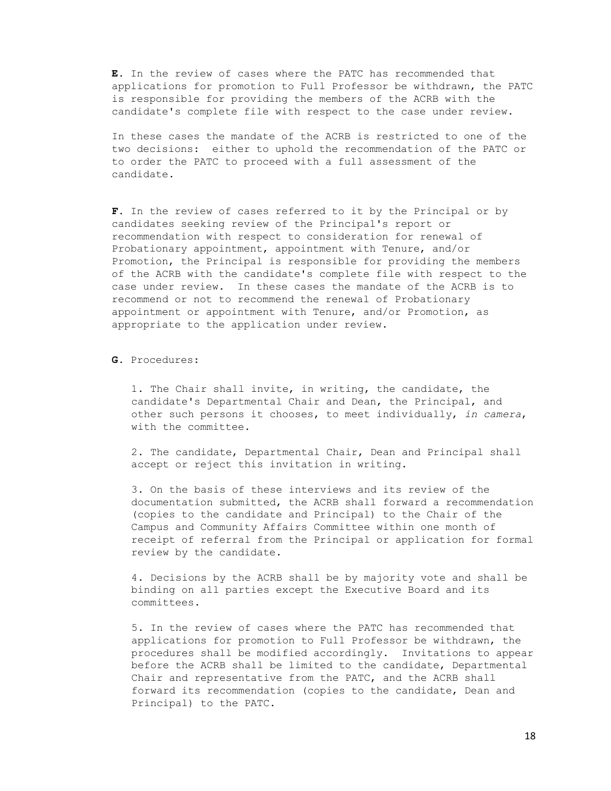**E.** In the review of cases where the PATC has recommended that applications for promotion to Full Professor be withdrawn, the PATC is responsible for providing the members of the ACRB with the candidate's complete file with respect to the case under review.

In these cases the mandate of the ACRB is restricted to one of the two decisions: either to uphold the recommendation of the PATC or to order the PATC to proceed with a full assessment of the candidate.

**F.** In the review of cases referred to it by the Principal or by candidates seeking review of the Principal's report or recommendation with respect to consideration for renewal of Probationary appointment, appointment with Tenure, and/or Promotion, the Principal is responsible for providing the members of the ACRB with the candidate's complete file with respect to the case under review. In these cases the mandate of the ACRB is to recommend or not to recommend the renewal of Probationary appointment or appointment with Tenure, and/or Promotion, as appropriate to the application under review.

## **G.** Procedures:

1. The Chair shall invite, in writing, the candidate, the candidate's Departmental Chair and Dean, the Principal, and other such persons it chooses, to meet individually, *in camera*, with the committee.

2. The candidate, Departmental Chair, Dean and Principal shall accept or reject this invitation in writing.

3. On the basis of these interviews and its review of the documentation submitted, the ACRB shall forward a recommendation (copies to the candidate and Principal) to the Chair of the Campus and Community Affairs Committee within one month of receipt of referral from the Principal or application for formal review by the candidate.

4. Decisions by the ACRB shall be by majority vote and shall be binding on all parties except the Executive Board and its committees.

5. In the review of cases where the PATC has recommended that applications for promotion to Full Professor be withdrawn, the procedures shall be modified accordingly. Invitations to appear before the ACRB shall be limited to the candidate, Departmental Chair and representative from the PATC, and the ACRB shall forward its recommendation (copies to the candidate, Dean and Principal) to the PATC.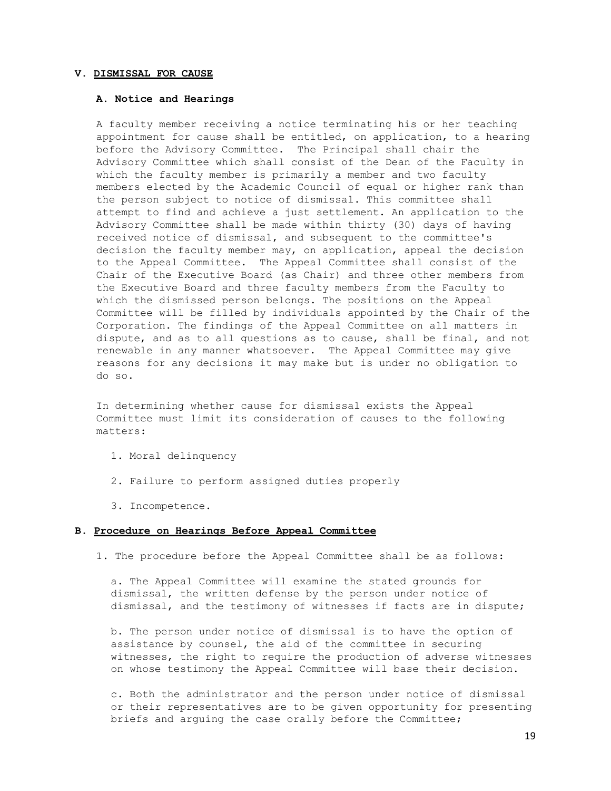#### **V. DISMISSAL FOR CAUSE**

# **A. Notice and Hearings**

A faculty member receiving a notice terminating his or her teaching appointment for cause shall be entitled, on application, to a hearing before the Advisory Committee. The Principal shall chair the Advisory Committee which shall consist of the Dean of the Faculty in which the faculty member is primarily a member and two faculty members elected by the Academic Council of equal or higher rank than the person subject to notice of dismissal. This committee shall attempt to find and achieve a just settlement. An application to the Advisory Committee shall be made within thirty (30) days of having received notice of dismissal, and subsequent to the committee's decision the faculty member may, on application, appeal the decision to the Appeal Committee. The Appeal Committee shall consist of the Chair of the Executive Board (as Chair) and three other members from the Executive Board and three faculty members from the Faculty to which the dismissed person belongs. The positions on the Appeal Committee will be filled by individuals appointed by the Chair of the Corporation. The findings of the Appeal Committee on all matters in dispute, and as to all questions as to cause, shall be final, and not renewable in any manner whatsoever. The Appeal Committee may give reasons for any decisions it may make but is under no obligation to do so.

In determining whether cause for dismissal exists the Appeal Committee must limit its consideration of causes to the following matters:

- 1. Moral delinquency
- 2. Failure to perform assigned duties properly
- 3. Incompetence.

### **B. Procedure on Hearings Before Appeal Committee**

1. The procedure before the Appeal Committee shall be as follows:

a. The Appeal Committee will examine the stated grounds for dismissal, the written defense by the person under notice of dismissal, and the testimony of witnesses if facts are in dispute;

b. The person under notice of dismissal is to have the option of assistance by counsel, the aid of the committee in securing witnesses, the right to require the production of adverse witnesses on whose testimony the Appeal Committee will base their decision.

c. Both the administrator and the person under notice of dismissal or their representatives are to be given opportunity for presenting briefs and arguing the case orally before the Committee;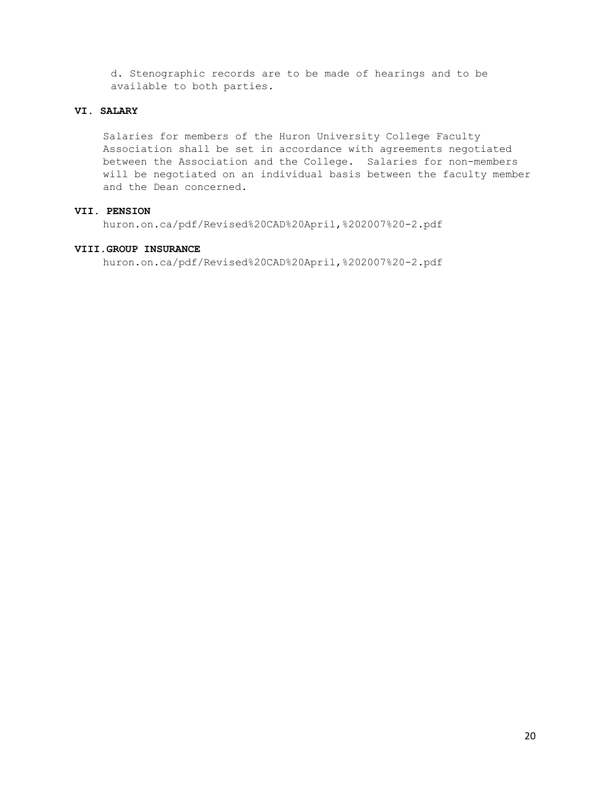d. Stenographic records are to be made of hearings and to be available to both parties.

# **VI. SALARY**

Salaries for members of the Huron University College Faculty Association shall be set in accordance with agreements negotiated between the Association and the College. Salaries for non-members will be negotiated on an individual basis between the faculty member and the Dean concerned.

# **VII. PENSION**

huron.on.ca/pdf/Revised%20CAD%20April,%202007%20-2.pdf

# **VIII.GROUP INSURANCE**

huron.on.ca/pdf/Revised%20CAD%20April,%202007%20-2.pdf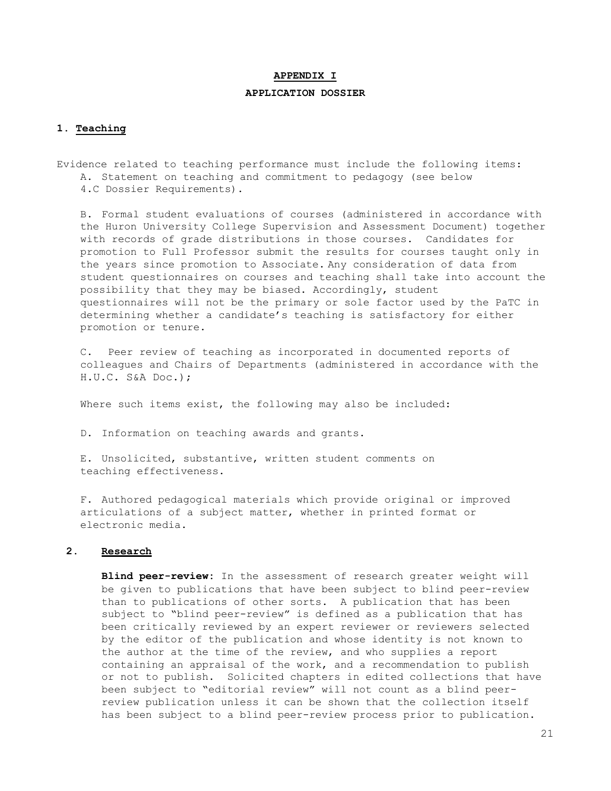#### **APPENDIX I**

# **APPLICATION DOSSIER**

#### **1. Teaching**

Evidence related to teaching performance must include the following items: A. Statement on teaching and commitment to pedagogy (see below 4.C Dossier Requirements).

B. Formal student evaluations of courses (administered in accordance with the Huron University College Supervision and Assessment Document) together with records of grade distributions in those courses. Candidates for promotion to Full Professor submit the results for courses taught only in the years since promotion to Associate. Any consideration of data from student questionnaires on courses and teaching shall take into account the possibility that they may be biased. Accordingly, student questionnaires will not be the primary or sole factor used by the PaTC in determining whether a candidate's teaching is satisfactory for either promotion or tenure.

C. Peer review of teaching as incorporated in documented reports of colleagues and Chairs of Departments (administered in accordance with the H.U.C. S&A Doc.);

Where such items exist, the following may also be included:

D. Information on teaching awards and grants.

E. Unsolicited, substantive, written student comments on teaching effectiveness.

F. Authored pedagogical materials which provide original or improved articulations of a subject matter, whether in printed format or electronic media.

## **2. Research**

**Blind peer-review:** In the assessment of research greater weight will be given to publications that have been subject to blind peer-review than to publications of other sorts. A publication that has been subject to "blind peer-review" is defined as a publication that has been critically reviewed by an expert reviewer or reviewers selected by the editor of the publication and whose identity is not known to the author at the time of the review, and who supplies a report containing an appraisal of the work, and a recommendation to publish or not to publish. Solicited chapters in edited collections that have been subject to "editorial review" will not count as a blind peerreview publication unless it can be shown that the collection itself has been subject to a blind peer-review process prior to publication.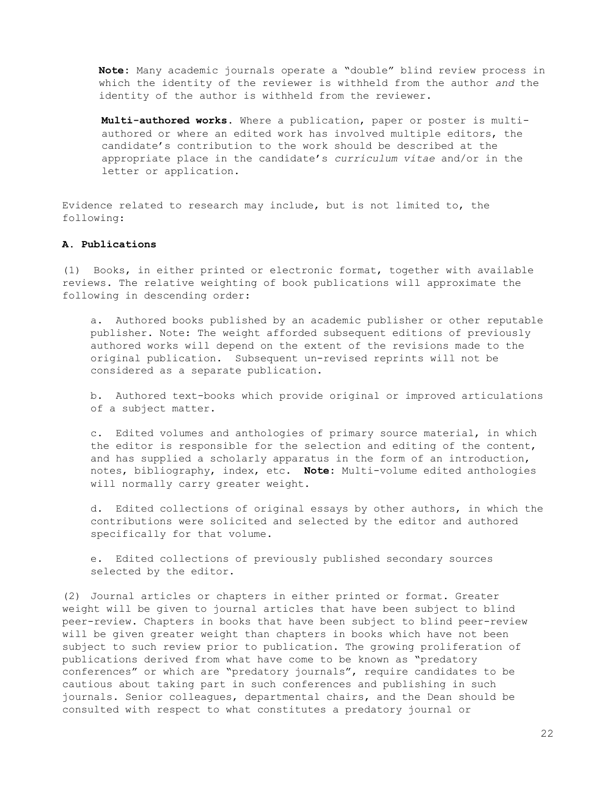**Note:** Many academic journals operate a "double" blind review process in which the identity of the reviewer is withheld from the author *and* the identity of the author is withheld from the reviewer.

**Multi-authored works.** Where a publication, paper or poster is multiauthored or where an edited work has involved multiple editors, the candidate's contribution to the work should be described at the appropriate place in the candidate's *curriculum vitae* and/or in the letter or application.

Evidence related to research may include, but is not limited to, the following:

### **A. Publications**

(1) Books, in either printed or electronic format, together with available reviews. The relative weighting of book publications will approximate the following in descending order:

a. Authored books published by an academic publisher or other reputable publisher. Note: The weight afforded subsequent editions of previously authored works will depend on the extent of the revisions made to the original publication. Subsequent un-revised reprints will not be considered as a separate publication.

b. Authored text-books which provide original or improved articulations of a subject matter.

c. Edited volumes and anthologies of primary source material, in which the editor is responsible for the selection and editing of the content, and has supplied a scholarly apparatus in the form of an introduction, notes, bibliography, index, etc. **Note:** Multi-volume edited anthologies will normally carry greater weight.

d. Edited collections of original essays by other authors, in which the contributions were solicited and selected by the editor and authored specifically for that volume.

e. Edited collections of previously published secondary sources selected by the editor.

(2) Journal articles or chapters in either printed or format. Greater weight will be given to journal articles that have been subject to blind peer-review. Chapters in books that have been subject to blind peer-review will be given greater weight than chapters in books which have not been subject to such review prior to publication. The growing proliferation of publications derived from what have come to be known as "predatory conferences" or which are "predatory journals", require candidates to be cautious about taking part in such conferences and publishing in such journals. Senior colleagues, departmental chairs, and the Dean should be consulted with respect to what constitutes a predatory journal or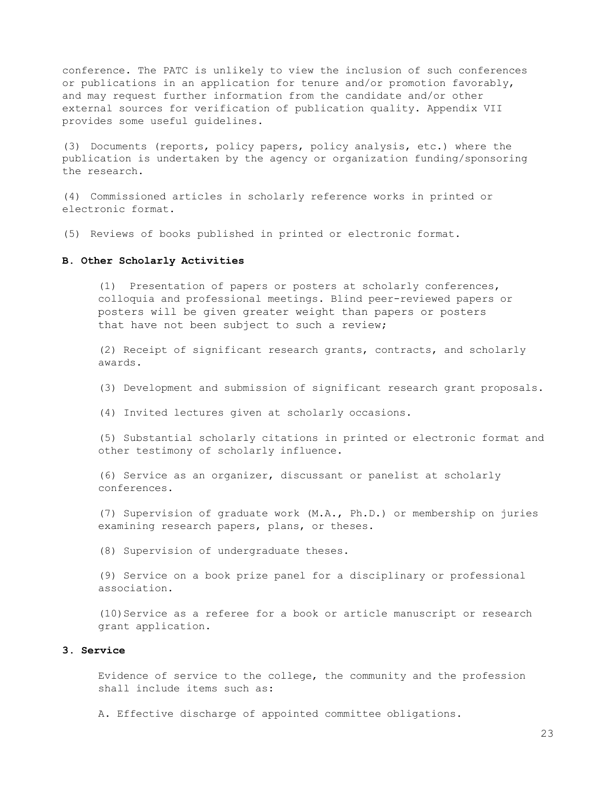conference. The PATC is unlikely to view the inclusion of such conferences or publications in an application for tenure and/or promotion favorably, and may request further information from the candidate and/or other external sources for verification of publication quality. Appendix VII provides some useful guidelines.

(3) Documents (reports, policy papers, policy analysis, etc.) where the publication is undertaken by the agency or organization funding/sponsoring the research.

(4) Commissioned articles in scholarly reference works in printed or electronic format.

(5) Reviews of books published in printed or electronic format.

### **B. Other Scholarly Activities**

(1) Presentation of papers or posters at scholarly conferences, colloquia and professional meetings. Blind peer-reviewed papers or posters will be given greater weight than papers or posters that have not been subject to such a review;

(2) Receipt of significant research grants, contracts, and scholarly awards.

(3) Development and submission of significant research grant proposals.

(4) Invited lectures given at scholarly occasions.

(5) Substantial scholarly citations in printed or electronic format and other testimony of scholarly influence.

(6) Service as an organizer, discussant or panelist at scholarly conferences.

(7) Supervision of graduate work (M.A., Ph.D.) or membership on juries examining research papers, plans, or theses.

(8) Supervision of undergraduate theses.

(9) Service on a book prize panel for a disciplinary or professional association.

(10)Service as a referee for a book or article manuscript or research grant application.

### **3. Service**

Evidence of service to the college, the community and the profession shall include items such as:

A. Effective discharge of appointed committee obligations.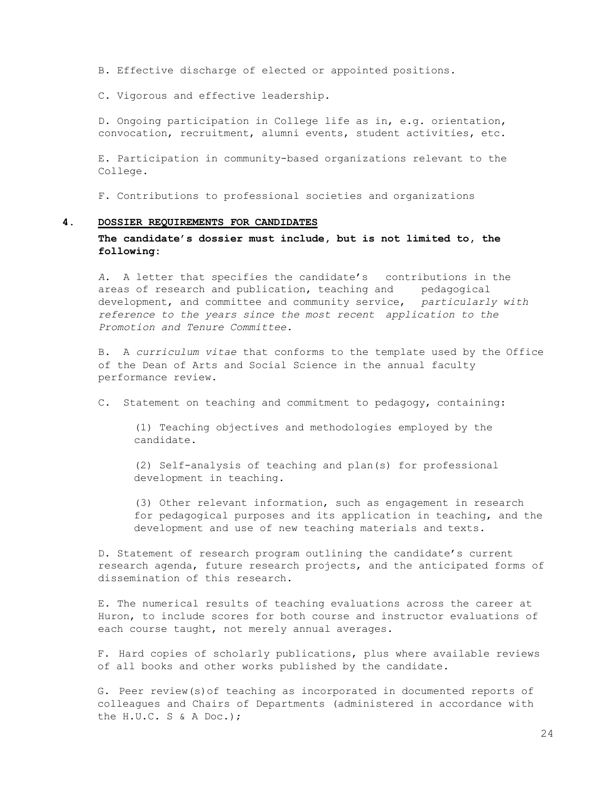B. Effective discharge of elected or appointed positions.

C. Vigorous and effective leadership.

D. Ongoing participation in College life as in, e.g. orientation, convocation, recruitment, alumni events, student activities, etc.

E. Participation in community-based organizations relevant to the College.

F. Contributions to professional societies and organizations

#### **4. DOSSIER REQUIREMENTS FOR CANDIDATES**

**The candidate's dossier must include, but is not limited to, the following:**

*A.* A letter that specifies the candidate's contributions in the areas of research and publication, teaching and pedagogical development, and committee and community service, *particularly with reference to the years since the most recent application to the Promotion and Tenure Committee.*

B. A *curriculum vitae* that conforms to the template used by the Office of the Dean of Arts and Social Science in the annual faculty performance review.

C. Statement on teaching and commitment to pedagogy, containing:

(1) Teaching objectives and methodologies employed by the candidate.

(2) Self-analysis of teaching and plan(s) for professional development in teaching.

(3) Other relevant information, such as engagement in research for pedagogical purposes and its application in teaching, and the development and use of new teaching materials and texts.

D. Statement of research program outlining the candidate's current research agenda, future research projects, and the anticipated forms of dissemination of this research.

E. The numerical results of teaching evaluations across the career at Huron, to include scores for both course and instructor evaluations of each course taught, not merely annual averages.

F. Hard copies of scholarly publications, plus where available reviews of all books and other works published by the candidate.

G. Peer review(s)of teaching as incorporated in documented reports of colleagues and Chairs of Departments (administered in accordance with the H.U.C. S & A Doc.);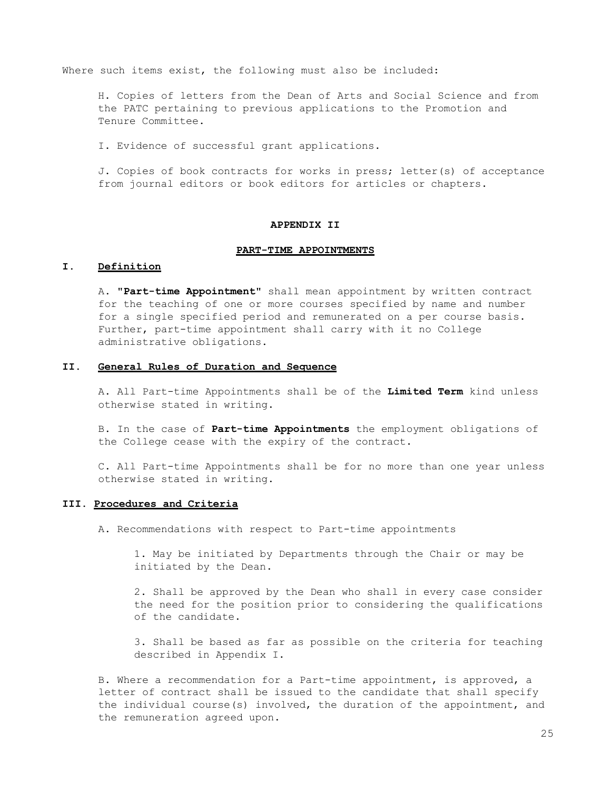Where such items exist, the following must also be included:

H. Copies of letters from the Dean of Arts and Social Science and from the PATC pertaining to previous applications to the Promotion and Tenure Committee.

I. Evidence of successful grant applications.

J. Copies of book contracts for works in press; letter(s) of acceptance from journal editors or book editors for articles or chapters.

# **APPENDIX II**

#### **PART-TIME APPOINTMENTS**

## **I. Definition**

A. **"Part-time Appointment"** shall mean appointment by written contract for the teaching of one or more courses specified by name and number for a single specified period and remunerated on a per course basis. Further, part-time appointment shall carry with it no College administrative obligations.

### **II. General Rules of Duration and Sequence**

A. All Part-time Appointments shall be of the **Limited Term** kind unless otherwise stated in writing.

B. In the case of **Part-time Appointments** the employment obligations of the College cease with the expiry of the contract.

C. All Part-time Appointments shall be for no more than one year unless otherwise stated in writing.

# **III. Procedures and Criteria**

A. Recommendations with respect to Part-time appointments

1. May be initiated by Departments through the Chair or may be initiated by the Dean.

2. Shall be approved by the Dean who shall in every case consider the need for the position prior to considering the qualifications of the candidate.

3. Shall be based as far as possible on the criteria for teaching described in Appendix I.

B. Where a recommendation for a Part-time appointment, is approved, a letter of contract shall be issued to the candidate that shall specify the individual course(s) involved, the duration of the appointment, and the remuneration agreed upon.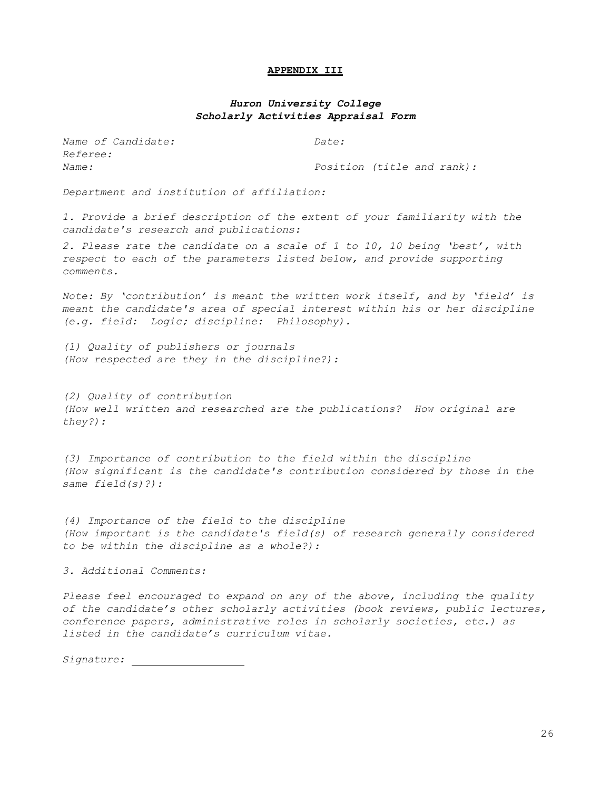#### **APPENDIX III**

# *Huron University College Scholarly Activities Appraisal Form*

*Name of Candidate: Date: Referee:*

*Name: Position (title and rank):*

*Department and institution of affiliation:*

*1. Provide a brief description of the extent of your familiarity with the candidate's research and publications:*

*2. Please rate the candidate on a scale of 1 to 10, 10 being 'best', with respect to each of the parameters listed below, and provide supporting comments.*

*Note: By 'contribution' is meant the written work itself, and by 'field' is meant the candidate's area of special interest within his or her discipline (e.g. field: Logic; discipline: Philosophy).*

*(1) Quality of publishers or journals (How respected are they in the discipline?):*

*(2) Quality of contribution (How well written and researched are the publications? How original are they?):*

*(3) Importance of contribution to the field within the discipline (How significant is the candidate's contribution considered by those in the same field(s)?):*

*(4) Importance of the field to the discipline (How important is the candidate's field(s) of research generally considered to be within the discipline as a whole?):*

*3. Additional Comments:*

*Please feel encouraged to expand on any of the above, including the quality of the candidate's other scholarly activities (book reviews, public lectures, conference papers, administrative roles in scholarly societies, etc.) as listed in the candidate's curriculum vitae.*

*Signature:*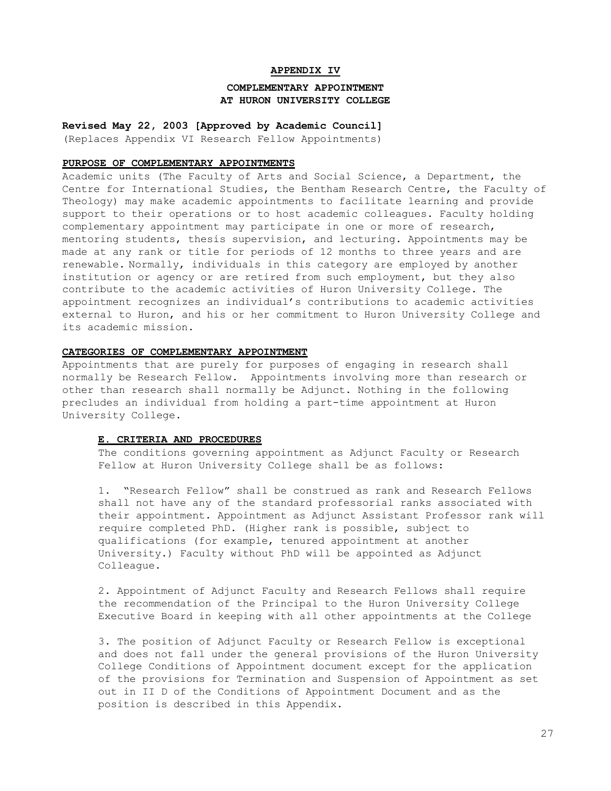## **APPENDIX IV**

# **COMPLEMENTARY APPOINTMENT AT HURON UNIVERSITY COLLEGE**

**Revised May 22, 2003 [Approved by Academic Council]** (Replaces Appendix VI Research Fellow Appointments)

#### **PURPOSE OF COMPLEMENTARY APPOINTMENTS**

Academic units (The Faculty of Arts and Social Science, a Department, the Centre for International Studies, the Bentham Research Centre, the Faculty of Theology) may make academic appointments to facilitate learning and provide support to their operations or to host academic colleagues. Faculty holding complementary appointment may participate in one or more of research, mentoring students, thesis supervision, and lecturing. Appointments may be made at any rank or title for periods of 12 months to three years and are renewable. Normally, individuals in this category are employed by another institution or agency or are retired from such employment, but they also contribute to the academic activities of Huron University College. The appointment recognizes an individual's contributions to academic activities external to Huron, and his or her commitment to Huron University College and its academic mission.

# **CATEGORIES OF COMPLEMENTARY APPOINTMENT**

Appointments that are purely for purposes of engaging in research shall normally be Research Fellow. Appointments involving more than research or other than research shall normally be Adjunct. Nothing in the following precludes an individual from holding a part-time appointment at Huron University College.

# **E. CRITERIA AND PROCEDURES**

The conditions governing appointment as Adjunct Faculty or Research Fellow at Huron University College shall be as follows:

1. "Research Fellow" shall be construed as rank and Research Fellows shall not have any of the standard professorial ranks associated with their appointment. Appointment as Adjunct Assistant Professor rank will require completed PhD. (Higher rank is possible, subject to qualifications (for example, tenured appointment at another University.) Faculty without PhD will be appointed as Adjunct Colleague.

2. Appointment of Adjunct Faculty and Research Fellows shall require the recommendation of the Principal to the Huron University College Executive Board in keeping with all other appointments at the College

3. The position of Adjunct Faculty or Research Fellow is exceptional and does not fall under the general provisions of the Huron University College Conditions of Appointment document except for the application of the provisions for Termination and Suspension of Appointment as set out in II D of the Conditions of Appointment Document and as the position is described in this Appendix.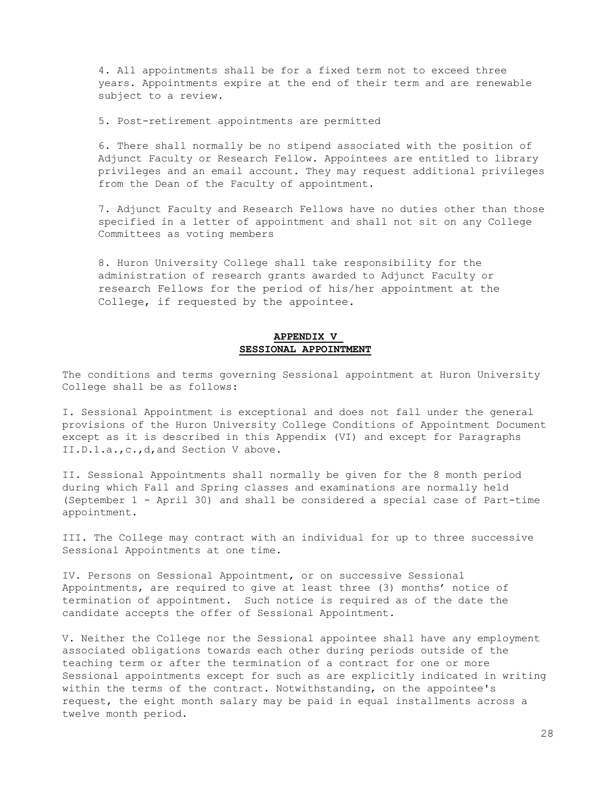4. All appointments shall be for a fixed term not to exceed three years. Appointments expire at the end of their term and are renewable subject to a review.

5. Post-retirement appointments are permitted

6. There shall normally be no stipend associated with the position of Adjunct Faculty or Research Fellow. Appointees are entitled to library privileges and an email account. They may request additional privileges from the Dean of the Faculty of appointment.

7. Adjunct Faculty and Research Fellows have no duties other than those specified in a letter of appointment and shall not sit on any College Committees as voting members

8. Huron University College shall take responsibility for the administration of research grants awarded to Adjunct Faculty or research Fellows for the period of his/her appointment at the College, if requested by the appointee.

## **APPENDIX V SESSIONAL APPOINTMENT**

The conditions and terms governing Sessional appointment at Huron University College shall be as follows:

I. Sessional Appointment is exceptional and does not fall under the general provisions of the Huron University College Conditions of Appointment Document except as it is described in this Appendix (VI) and except for Paragraphs II.D.1.a.,c.,d,and Section V above.

II. Sessional Appointments shall normally be given for the 8 month period during which Fall and Spring classes and examinations are normally held (September 1 - April 30) and shall be considered a special case of Part-time appointment.

III. The College may contract with an individual for up to three successive Sessional Appointments at one time.

IV. Persons on Sessional Appointment, or on successive Sessional Appointments, are required to give at least three (3) months' notice of termination of appointment. Such notice is required as of the date the candidate accepts the offer of Sessional Appointment.

V. Neither the College nor the Sessional appointee shall have any employment associated obligations towards each other during periods outside of the teaching term or after the termination of a contract for one or more Sessional appointments except for such as are explicitly indicated in writing within the terms of the contract. Notwithstanding, on the appointee's request, the eight month salary may be paid in equal installments across a twelve month period.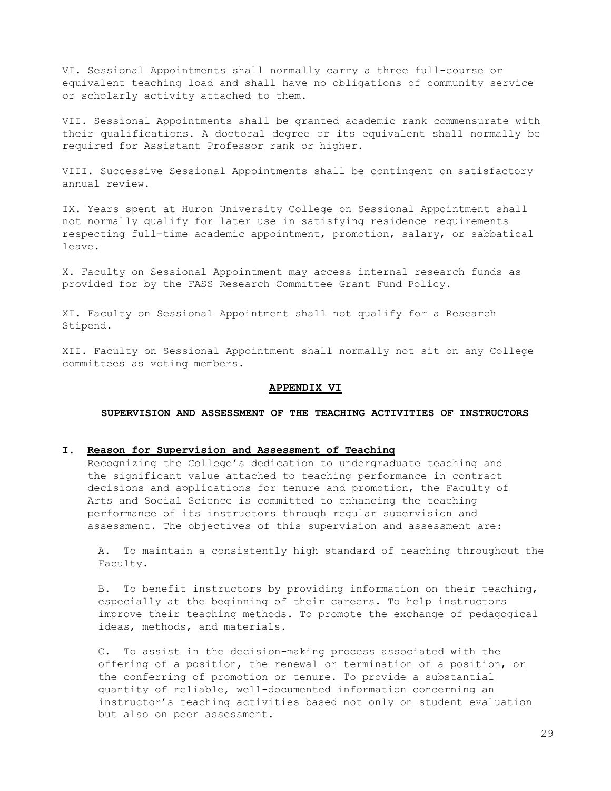VI. Sessional Appointments shall normally carry a three full-course or equivalent teaching load and shall have no obligations of community service or scholarly activity attached to them.

VII. Sessional Appointments shall be granted academic rank commensurate with their qualifications. A doctoral degree or its equivalent shall normally be required for Assistant Professor rank or higher.

VIII. Successive Sessional Appointments shall be contingent on satisfactory annual review.

IX. Years spent at Huron University College on Sessional Appointment shall not normally qualify for later use in satisfying residence requirements respecting full-time academic appointment, promotion, salary, or sabbatical leave.

X. Faculty on Sessional Appointment may access internal research funds as provided for by the FASS Research Committee Grant Fund Policy.

XI. Faculty on Sessional Appointment shall not qualify for a Research Stipend.

XII. Faculty on Sessional Appointment shall normally not sit on any College committees as voting members.

#### **APPENDIX VI**

**SUPERVISION AND ASSESSMENT OF THE TEACHING ACTIVITIES OF INSTRUCTORS**

### **I. Reason for Supervision and Assessment of Teaching**

Recognizing the College's dedication to undergraduate teaching and the significant value attached to teaching performance in contract decisions and applications for tenure and promotion, the Faculty of Arts and Social Science is committed to enhancing the teaching performance of its instructors through regular supervision and assessment. The objectives of this supervision and assessment are:

A. To maintain a consistently high standard of teaching throughout the Faculty.

B. To benefit instructors by providing information on their teaching, especially at the beginning of their careers. To help instructors improve their teaching methods. To promote the exchange of pedagogical ideas, methods, and materials.

C. To assist in the decision-making process associated with the offering of a position, the renewal or termination of a position, or the conferring of promotion or tenure. To provide a substantial quantity of reliable, well-documented information concerning an instructor's teaching activities based not only on student evaluation but also on peer assessment.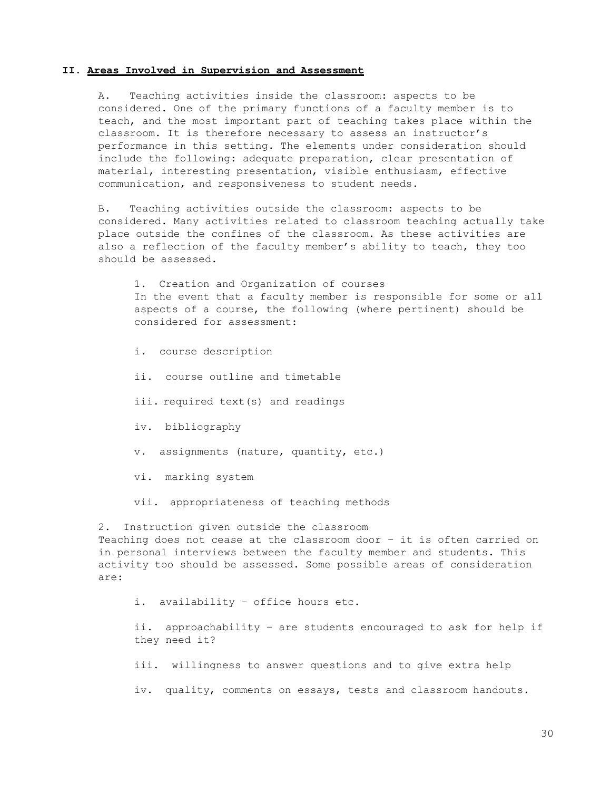### **II. Areas Involved in Supervision and Assessment**

A. Teaching activities inside the classroom: aspects to be considered. One of the primary functions of a faculty member is to teach, and the most important part of teaching takes place within the classroom. It is therefore necessary to assess an instructor's performance in this setting. The elements under consideration should include the following: adequate preparation, clear presentation of material, interesting presentation, visible enthusiasm, effective communication, and responsiveness to student needs.

B. Teaching activities outside the classroom: aspects to be considered. Many activities related to classroom teaching actually take place outside the confines of the classroom. As these activities are also a reflection of the faculty member's ability to teach, they too should be assessed.

1. Creation and Organization of courses In the event that a faculty member is responsible for some or all aspects of a course, the following (where pertinent) should be considered for assessment:

- i. course description
- ii. course outline and timetable
- iii. required text(s) and readings
- iv. bibliography
- v. assignments (nature, quantity, etc.)
- vi. marking system
- vii. appropriateness of teaching methods

2. Instruction given outside the classroom Teaching does not cease at the classroom door – it is often carried on in personal interviews between the faculty member and students. This activity too should be assessed. Some possible areas of consideration are:

i. availability – office hours etc.

ii. approachability – are students encouraged to ask for help if they need it?

iii. willingness to answer questions and to give extra help

iv. quality, comments on essays, tests and classroom handouts.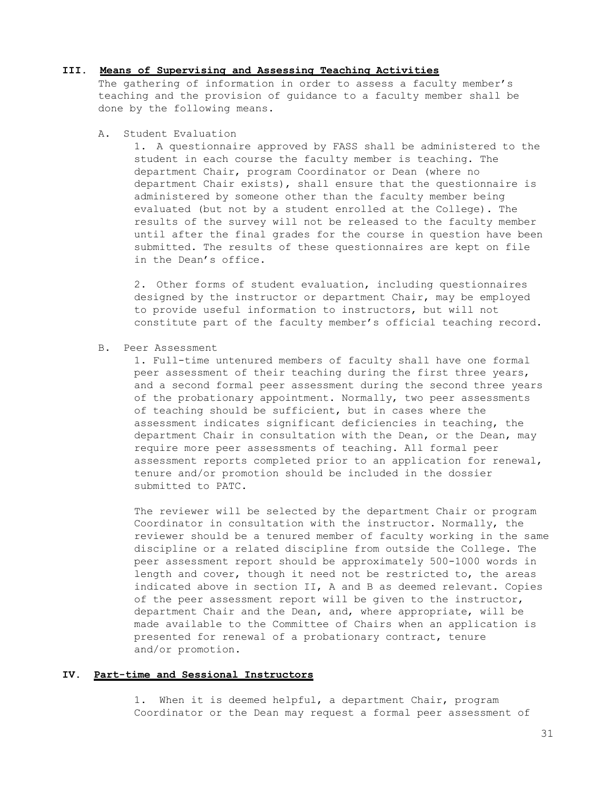### **III. Means of Supervising and Assessing Teaching Activities**

The gathering of information in order to assess a faculty member's teaching and the provision of guidance to a faculty member shall be done by the following means.

A. Student Evaluation

1. A questionnaire approved by FASS shall be administered to the student in each course the faculty member is teaching. The department Chair, program Coordinator or Dean (where no department Chair exists), shall ensure that the questionnaire is administered by someone other than the faculty member being evaluated (but not by a student enrolled at the College). The results of the survey will not be released to the faculty member until after the final grades for the course in question have been submitted. The results of these questionnaires are kept on file in the Dean's office.

2. Other forms of student evaluation, including questionnaires designed by the instructor or department Chair, may be employed to provide useful information to instructors, but will not constitute part of the faculty member's official teaching record.

B. Peer Assessment

1. Full-time untenured members of faculty shall have one formal peer assessment of their teaching during the first three years, and a second formal peer assessment during the second three years of the probationary appointment. Normally, two peer assessments of teaching should be sufficient, but in cases where the assessment indicates significant deficiencies in teaching, the department Chair in consultation with the Dean, or the Dean, may require more peer assessments of teaching. All formal peer assessment reports completed prior to an application for renewal, tenure and/or promotion should be included in the dossier submitted to PATC.

The reviewer will be selected by the department Chair or program Coordinator in consultation with the instructor. Normally, the reviewer should be a tenured member of faculty working in the same discipline or a related discipline from outside the College. The peer assessment report should be approximately 500-1000 words in length and cover, though it need not be restricted to, the areas indicated above in section II, A and B as deemed relevant. Copies of the peer assessment report will be given to the instructor, department Chair and the Dean, and, where appropriate, will be made available to the Committee of Chairs when an application is presented for renewal of a probationary contract, tenure and/or promotion.

## **IV. Part-time and Sessional Instructors**

1. When it is deemed helpful, a department Chair, program Coordinator or the Dean may request a formal peer assessment of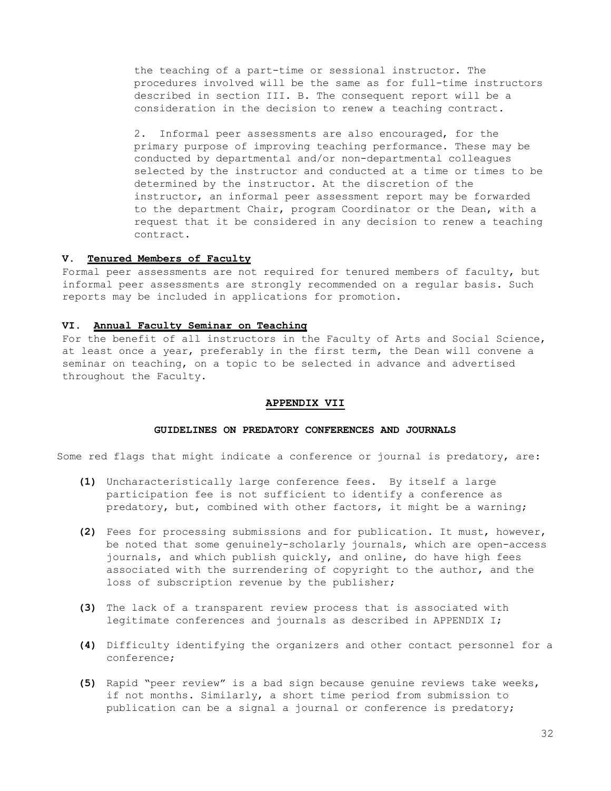the teaching of a part-time or sessional instructor. The procedures involved will be the same as for full-time instructors described in section III. B. The consequent report will be a consideration in the decision to renew a teaching contract.

2. Informal peer assessments are also encouraged, for the primary purpose of improving teaching performance. These may be conducted by departmental and/or non-departmental colleagues selected by the instructor and conducted at a time or times to be determined by the instructor. At the discretion of the instructor, an informal peer assessment report may be forwarded to the department Chair, program Coordinator or the Dean, with a request that it be considered in any decision to renew a teaching contract.

### **V. Tenured Members of Faculty**

Formal peer assessments are not required for tenured members of faculty, but informal peer assessments are strongly recommended on a regular basis. Such reports may be included in applications for promotion.

### **VI. Annual Faculty Seminar on Teaching**

For the benefit of all instructors in the Faculty of Arts and Social Science, at least once a year, preferably in the first term, the Dean will convene a seminar on teaching, on a topic to be selected in advance and advertised throughout the Faculty.

### **APPENDIX VII**

#### **GUIDELINES ON PREDATORY CONFERENCES AND JOURNALS**

Some red flags that might indicate a conference or journal is predatory, are:

- **(1)** Uncharacteristically large conference fees. By itself a large participation fee is not sufficient to identify a conference as predatory, but, combined with other factors, it might be a warning;
- **(2)** Fees for processing submissions and for publication. It must, however, be noted that some genuinely-scholarly journals, which are open-access journals, and which publish quickly, and online, do have high fees associated with the surrendering of copyright to the author, and the loss of subscription revenue by the publisher;
- **(3)** The lack of a transparent review process that is associated with legitimate conferences and journals as described in APPENDIX I;
- **(4)** Difficulty identifying the organizers and other contact personnel for a conference;
- **(5)** Rapid "peer review" is a bad sign because genuine reviews take weeks, if not months. Similarly, a short time period from submission to publication can be a signal a journal or conference is predatory;